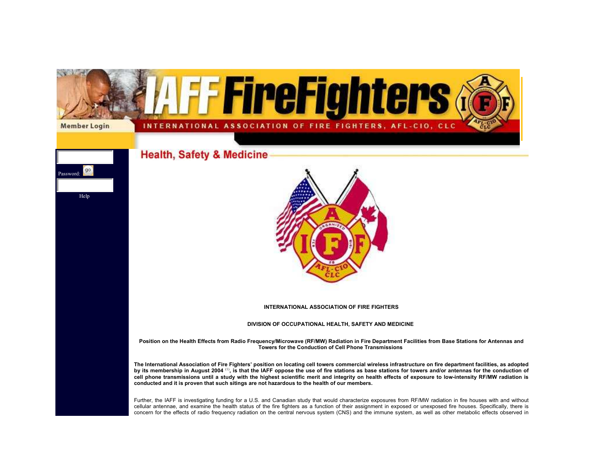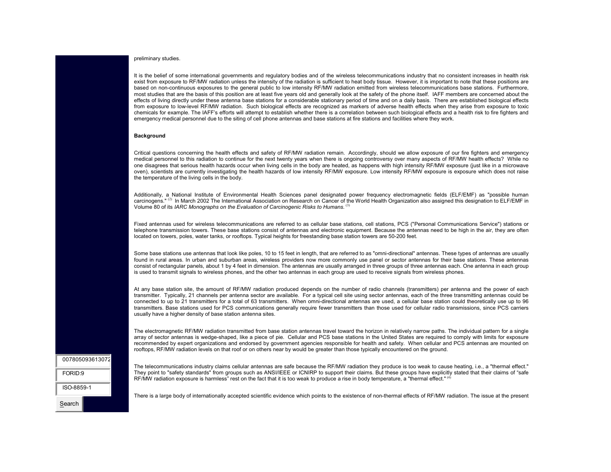# preliminary studies.

It is the belief of some international governments and regulatory bodies and of the wireless telecommunications industry that no consistent increases in health risk exist from exposure to RF/MW radiation unless the intensity of the radiation is sufficient to heat body tissue. However, it is important to note that these positions are based on non-continuous exposures to the general public to low intensity RF/MW radiation emitted from wireless telecommunications base stations. Furthermore, most studies that are the basis of this position are at least five years old and generally look at the safety of the phone itself. IAFF members are concerned about the effects of living directly under these antenna base stations for a considerable stationary period of time and on a daily basis. There are established biological effects from exposure to low-level RF/MW radiation. Such biological effects are recognized as markers of adverse health effects when they arise from exposure to toxic chemicals for example. The IAFF's efforts will attempt to establish whether there is a correlation between such biological effects and a health risk to fire fighters and emergency medical personnel due to the siting of cell phone antennas and base stations at fire stations and facilities where they work.

## **Background**

Critical questi[ons](http://www.iaff.org/hs/Facts/CellTowerFinal.asp#ref2) concerning the health effects and safety of RF/MW radiation remain. Accordingly, should we allow exposure of our fire fighters and emergency medical personnel to this radiation to continue for the next twenty years when there is ongo[ing](http://www.iaff.org/hs/Facts/CellTowerFinal.asp#ref3) controversy over many aspects of RF/MW health effects? While no one disagrees that serious health hazards occur when living cells in the body are heated, as happens with high intensity RF/MW exposure (just like in a microwave oven), scientists are currently investigating the health hazards of low intensity RF/MW exposure. Low intensity RF/MW exposure is exposure which does not raise the temperature of the living cells in the body.

Additionally, a National Institute of Environmental Health Sciences panel designated power frequency electromagnetic fields (ELF/EMF) as "possible human carcinogens." <sup>(2)</sup> In March 2002 The International Association on Research on Cancer of the World Health Organization also assigned this designation to ELF/EMF in Volume 80 of its *IARC Monographs on the Evaluation of Carcinogenic Risks to Humans.* (3)

Fixed antennas used for wireless telecommunications are referred to as cellular base stations, cell stations, PCS ("Personal Communications Service") stations or telephone transmission towers. These base stations consist of antennas and electronic equipment. Because the antennas need to be high in the air, they are often located on towers, poles, water tanks, or rooftops. Typical heights for freestanding base station towers are 50-200 feet.

Some base stations use antennas that look like poles, 10 to 15 feet in length, that are referred to as "omni-directional" antennas. These types of antennas are usually found in rural areas. In urban and suburban areas, wireless providers now more commonly use panel or sector antennas for their base stations. These antennas consist of rectangular panels, about 1 by 4 feet in dimension. The antennas are usually arranged in three groups of three antennas each. One antenna in each group is used to transmit signals to wireless phones, and the other two antennas in each group are used to receive signals from wireless phones.

At any base station site, the amount of RF/MW radiation produced depends on the number of radio channels (transmitters) per antenna and the power of each transmitter. Typically, 21 channels per antenna sector are available. For a typical cell site using sector antennas, each of the three transmitting antennas could be connected to up to 21 transmitters for a total of 63 transmitters. When omni-directional antennas are used, a cellular base station could theoretically use up to 96 transmitters. Base stations used for PCS communications generally require fewer transmitters than those used for cellular radio transmissions, since PCS carriers usually have a higher density of base station antenna sites.

The electromagnetic RF/MW radiation transmitted from base station antennas travel toward the horizon in relatively narrow paths. The i[nd](http://www.iaff.org/hs/Facts/CellTowerFinal.asp#ref4)ividual pattern for a single array of sector antennas is wedge-shaped, like a piece of pie. Cellular and PCS base stations in the United States are required to comply with limits for exposure recommended by expert organizations and endorsed by government agencies responsible for health and safety. When cellular and PCS antennas are mounted on rooftops, RF/MW radiation levels on that roof or on others near by would be greater than those typically encountered on the ground.

| 007805093613072 |  |
|-----------------|--|
| FORID:9         |  |
| ISO-8859-1      |  |
| Search          |  |

The telecommunications industry claims cellular antennas are safe because the RF/MW radiation they produce is too weak to cause heating, i.e., a "thermal effect." They point to "safety standards" from groups such as ANSI/IEEE or ICNIRP to support their claims. But these groups have explicitly stated that their claims of "safe RF/MW radiation exposure is harmless" rest on the fact that it is too weak to produce a rise in body temperature, a "thermal effect."  $(4)$ 

There is a large body of internationally accepted scientific evidence which points to the existence of non-thermal effects of RF/MW radiation. The issue at the present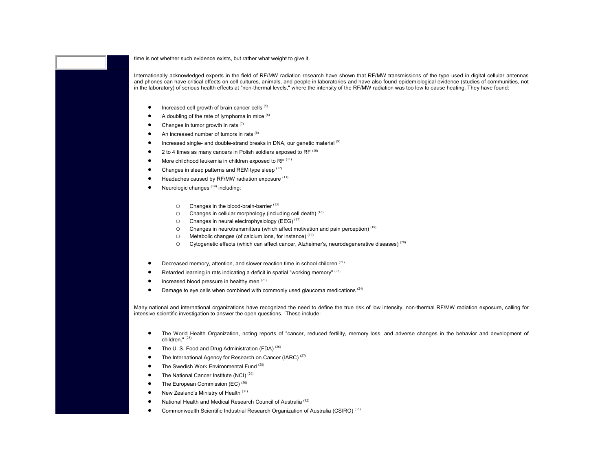time is not whether such evidence exists, but rather wha[t](http://www.iaff.org/hs/Facts/CellTowerFinal.asp#ref5) [w](http://www.iaff.org/hs/Facts/CellTowerFinal.asp#ref5)[ei](http://www.iaff.org/hs/Facts/CellTowerFinal.asp#ref6)ght to give it.

Internationally acknowledged experts in the fi[eld](http://www.iaff.org/hs/Facts/CellTowerFinal.asp#ref7) of RF/MW radiation research have shown that RF/MW transmissions of the type used in digital cellular antennas and phones can have critical effects on cell cultures, [an](http://www.iaff.org/hs/Facts/CellTowerFinal.asp#ref8)imals, and people in laboratories and have also found epidemiological evidence (studies of communities, not in the laboratory) of serious health effects at "non-thermal levels," where the intensity of t[he](http://www.iaff.org/hs/Facts/CellTowerFinal.asp#ref9) RF/MW radiation was too low to cause heating. They have found:

- •Increased cell growth of brain cancer cells (5)
- •A doubling of the rate of lymphoma in mice  $(6)$
- •Changes in tumor growth in rats  $(7)$
- •An increased number [of t](http://www.iaff.org/hs/Facts/CellTowerFinal.asp#ref14)umors in rats (8)
- •Increased single- and double-strand breaks in DNA, our genetic material (9)
- •2 to 4 times as many cancers in Polish soldiers e[xpo](http://www.iaff.org/hs/Facts/CellTowerFinal.asp#ref15)sed to RF (10)
- •More childhood leukemia in children exposed to RF<sup>(11)</sup>
- •Changes in sleep patterns and REM type sleep  $(12)$
- •Headaches caused by RF/MW radiation exposure (13)
- • Neurologic changes (14) including:
	- oChanges in the blood-brain-barrier (15)
	- $\circ$  Changes in cellular morphology (including cell death) (16)
	- $\circ$  Changes in neural electrophysiology (EEG)<sup>(17)</sup>
	- $\circ$  Changes in neurotransmitters ([whic](http://www.iaff.org/hs/Facts/CellTowerFinal.asp#ref23)h affect motivation and pain perception)<sup>(18)</sup>
	- $\circ$  Metabolic changes (of calcium ions, for instance)<sup>(19)</sup>
	- oCytogenetic effects (which can affect cancer, Alzheimer's, neuro[d](http://www.iaff.org/hs/Facts/CellTowerFinal.asp#ref24)egenerative diseases)<sup>(20)</sup>
- •Decreased memory, attention, and slower reaction time in school children (21)
- •Retarded learning in rats indicating a deficit in spatial "working memory" (22)
- •Increased blood pressure in healthy men (23)
- •Damage t[o ey](http://www.iaff.org/hs/Facts/CellTowerFinal.asp#ref25)e cells when combined with comm[only](http://www.iaff.org/hs/Facts/CellTowerFinal.asp#ref26) used glaucoma medications (24)

Many national and international organizations have recognized the ne[ed t](http://www.iaff.org/hs/Facts/CellTowerFinal.asp#ref27)o define the true risk of low intensity, non-thermal RF/MW radiation exposure, calling for intensive scientific investigation to answer the open q[uest](http://www.iaff.org/hs/Facts/CellTowerFinal.asp#ref27)ions. These include:

- • The World Health Organization, n[otin](http://www.iaff.org/hs/Facts/CellTowerFinal.asp#ref30)g reports of "cancer, reduced fertility, memory loss, and adverse changes in the behavior and development of children." (25)
- •The U. S. Food and Drug Administration (FDA)<sup>(26)</sup>
- •The International Agency for Research on Cancer (IARC)<sup>(27)</sup>
- •The Swedish Work Environmental Fund (28)
- •The National Cancer Institute (NCI) (29)
- •The European Commission (EC) (30)
- •New Zealand's Ministry of Health (31)
- •National Health and Medical Research Council of Australia<sup>(32)</sup>
- •Commonwealth Scientific Industrial Research Organization of Australia (CSIRO) (33)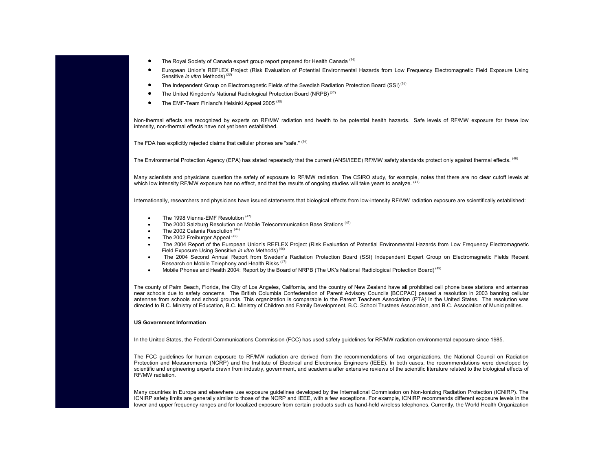- •The Royal Society of Canada expert group report prepared for Health Canada<sup>(34)</sup>
- • European Union's REFLEX Project (Risk Evaluation of Potential Environmental Hazards from Low Frequency Electromagnetic Field Exposure Using Sensitive *in vitro* Methods) (35)
- •The Independent Group on Electromagnetic Fields of the Swedish Radiation Protection Board (SSI)<sup>(36)</sup>
- •The United Kingdom's National Radiological Protection Board [\(N](http://www.iaff.org/hs/Facts/CellTowerFinal.asp#ref39)RPB) (37)
- •The EMF-Team Finland's Helsinki Appeal 2005<sup>(38)</sup>

Non-thermal effects are recognized by experts on RF/MW radiation and health to be potential health hazards. Safe levels of RF/MW exposure for these low intensity, non-thermal effects have not yet been established.

The FDA has explicitly rejected claims that cellular phones are "safe."  $(39)$ 

The Environmental Protection Agency (EPA) ha[s sta](http://www.iaff.org/hs/Facts/CellTowerFinal.asp#ref42)ted repeatedly that the current (ANSI/IEEE) RF/MW safety standards protect only against thermal effects. (40)

Many scientists and physicians question th[e s](http://www.iaff.org/hs/Facts/CellTowerFinal.asp#ref44)afety of exposure to RF/MW radiation. The CSIRO study, for example, notes that there are no clear cutoff levels at which low intensity RF/MW exposure has [no e](http://www.iaff.org/hs/Facts/CellTowerFinal.asp#ref45)ffect, and that the results of ongoing studies will take years to analyze. <sup>(41)</sup>

Internationally, researchers and physicians have issued statem[ent](http://www.iaff.org/hs/Facts/CellTowerFinal.asp#ref46)s that biological effects from low-intensity RF/MW radiation exposure are scientifically established:

- •The 1998 Vienna-EMF Resolution (42)
- •The 2000 Salzburg Resolution on Mobile Telecommunication Base Stations (43)
- •The 2002 Catania Resolution (44)
- •The 2002 Freiburger Appeal (45)
- • The 2004 Report of the European Union's REFLEX Project (Risk Evaluation of Potential Environmental Hazards from Low Frequency Electromagnetic Field Exposure Using Sensitive *in vitro* Methods) (46)
- • The 2004 Second Annual Report from Sweden's Radiation Protection Board (SSI) Independent Expert Group on Electromagnetic Fields Recent Research on Mobile Telephony and Health Risks<sup>(47)</sup>
- •Mobile Phones and Health 2004: Report by the Board of NRPB (The UK's National Radiological Protection Board)<sup>(48)</sup>

The county of Palm Beach, Florida, the City of Los Angeles, California, and the country of New Zealand have all prohibited cell phone base stations and antennas near schools due to safety concerns. The British Columbia Confederation of Parent Advisory Councils [BCCPAC] passed a resolution in 2003 banning cellular antennae from schools and school grounds. This organization is comparable to the Parent Teachers Association (PTA) in the United States. The resolution was directed to B.C. Ministry of Education, B.C. Ministry of Children and Family Development, B.C. School Trustees Association, and B.C. Association of Municipalities.

### **US Government Information**

In the United States, the Federal Communications Commission (FCC) has used safety guidelines for RF/MW radiation environmental exposure since 1985.

The FCC guidelines for human exposure to RF/MW radiation are derived from the recommendations of two organizations, the National Council on Radiation Protection and Measurements (NCRP) and the Institute of Electrical and Electronics Engineers (IEEE). In both cases, the recommendations were developed by scientific and engineering experts drawn from industry, government, and academia after extensive reviews of the scientific literature related to the biological effects of RF/MW radiation.

Many countries in Europe and elsewhere use exposure guidelines developed by the International Commission on Non-Ionizing Radiation Protection (ICNIRP). The ICNIRP safety limits are generally similar to those of the NCRP and IEEE, with a few exceptions. For example, ICNIRP recommends different exposure levels in the lower and upper frequency ranges and for localized exposure from certain products such as hand-held wireless telephones. Currently, the World Health Organization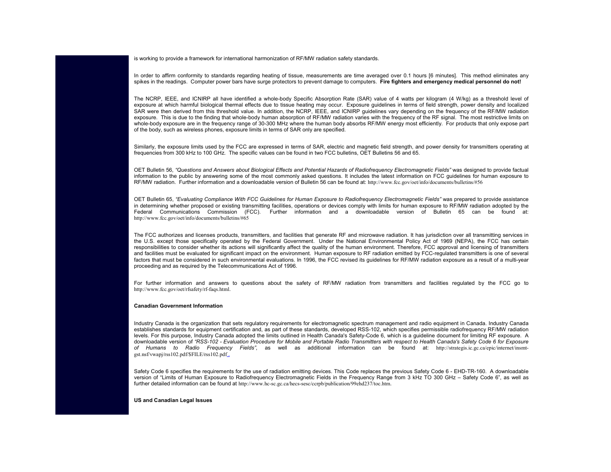is working to provide a framework for international harmonization of RF/MW radiation safety standards.

In order to affirm conformity to standards regarding heating of tissue, measurements are time averaged over 0.1 hours [6 minutes]. This method eliminates any spikes in the readings. Computer power bars have surge protectors to prevent damage to computers. **Fire fighters and emergency medical personnel do not!**

The NCRP, IEEE, and ICNIRP all have identified a whole-body Specific Absorption Rate (SAR) value of 4 watts per kilogram (4 W/kg) as a threshold level of exposure at which harmful biological thermal effects due to tissue heating may occur. Exposure guidelines in terms of field strength, power density and localized SAR were then derived from this threshold value. In addition, the NCRP, IEEE, and ICNIRP guidelines vary depending on the frequency of the RF/MW radiation exposure. This is due to the finding that whole-body human absorption of RF/MW radiation varies with the frequency of the RF signal. The most restrictive limits on whole-body exposure are in the frequency range of 30-300 MHz where the human body absorbs RF/MW energy most efficiently. For products that only expose part of the body, such as wireless phones, exposure limits in terms of SAR only are specified.

Similarly, the exposure limits used by the FCC are expressed in terms of SAR, electric and magnetic field strength, and power density for transmitters operating at frequencies from 300 kHz to 100 GHz. The specific values can be found in two FCC bulletins, OET Bulletins 56 and 65.

OET Bulletin 56, *["Questions and Answers about](http://www.fcc.gov/oet/info/documents/bulletins/#65) Biological Effects and Potential Hazards of Radiofrequency Electromagnetic Fields"* was designed to provide factual information to the public by answering some of the most commonly asked questions. It includes the latest information on FCC guidelines for human exposure to RF/MW radiation. Further information and a downloadable version of Bulletin 56 can be found at: http://www.fcc.gov/oet/info/documents/bulletins/#56

OET Bulletin 65, *"Evaluating Compliance With FCC Guidelines for Human Exposure to Radiofrequency Electromagnetic Fields"* was prepared to provide assistance in determining whether proposed or existing transmitting facilities, operations or devices comply with limits for human exposure to RF/MW radiation adopted by the Federal Communications Commission (FCC). Further information and a downloadable version of Bulletin 65 can be found at: http://www.fcc.gov/oet/info/documents/bulletins/#65

The FCC authorizes and licenses products, transmitters, and facilities that generate RF and microwave radiation. It has jurisdiction over all transmitting services in [the U.S. except those specifically oper](http://www.fcc.gov/oet/rfsafety/rf-faqs.html)ated by the Federal Government. Under the National Environmental Policy Act of 1969 (NEPA), the FCC has certain responsibilities to consider whether its actions will significantly affect the quality of the human environment. Therefore, FCC approval and licensing of transmitters and facilities must be evaluated for significant impact on the environment. Human exposure to RF radiation emitted by FCC-regulated transmitters is one of several factors that must be considered in such environmental evaluations. In 1996, the FCC revised its guidelines for RF/MW radiation exposure as a result of a multi-year proceeding and as required by the Telecommunications Act of 1996.

For further information and answers to questions about the safety of RF/MW radiation from transmitters and facilities regulated by the FCC go tohttp://www.fcc.gov/oet/rfsafety/rf-faqs.html.

## **[Canadian Government Information](http://strategis.ic.gc.ca/epic/internet/insmt-gst.nsf/vwapj/rss102.pdf/$FILE/rss102.pdf)**

Industry Canada is the organization that sets regulatory requirements for electromagnetic spectrum management and radio equipment in Canada. Industry Canada establishes standards for equipment certification and, as part of these standards, developed RSS-102, which specifies permissible radiofrequency RF/MW radiation levels. For this purpose, Industry Canada ado[pted the limits outlined in Health Canada's Safety-Code 6, whic](http://www.hc-sc.gc.ca/hecs-sesc/ccrpb/publication/99ehd237/toc.htm)h is a guideline document for limiting RF exposure. A downloadable version of *"RSS-102 - Evaluation Procedure for Mobile and Portable Radio Transmitters with respect to Health Canada's Safety Code 6 for Exposure of Humans to Radio Frequency Fields"*, as well as additional information can be found at: http://strategis.ic.gc.ca/epic/internet/insmtgst.nsf/vwapj/rss102.pdf/\$FILE/rss102.pdf .

Safety Code 6 specifies the requirements for the use of radiation emitting devices. This Code replaces the previous Safety Code 6 - EHD-TR-160. A downloadable version of "Limits of Human Exposure to Radiofrequency Electromagnetic Fields in the Frequency Range from 3 kHz TO 300 GHz – Safety Code 6", as well as further detailed information can be found at http://www.hc-sc.gc.ca/hecs-sesc/ccrpb/publication/99ehd237/toc.htm.

**US and Canadian Legal Issues**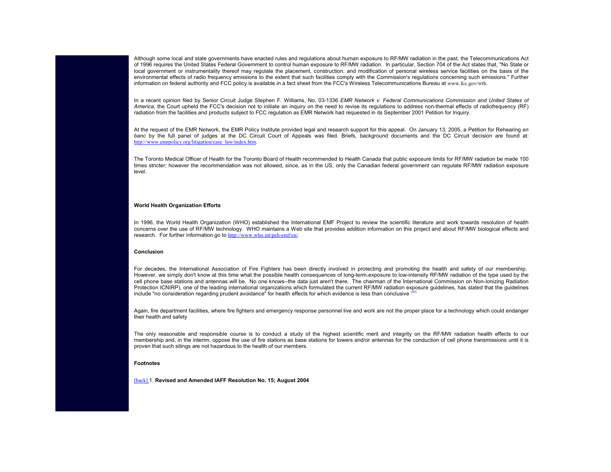Although some local and state governments have enacted rules and regulations about human exposure to RF/MW radiation in the past, the Telecommunications Act of 1996 requires the United States Federal Government to control human exposure to RF/MW radiation. In particular, Section 704 of the Act states that, "No State or local government or instrumentality thereof may regulate the placement, construction, and modification of personal wireless service facilities on the basis of the environmental effects of radio frequency emissions to the extent that such facilities comply with the Commission's regulations concerning such emissions." Further information on federal authority and FCC policy is available in a fact sheet from the FCC's Wireless Telecommunications Bureau at www.fcc.gov/wtb.

In a recent opinion filed by Senior Circuit Judge Stephen F. Williams, No. 03-1336 *EMR Network v. Federal Communications Commission and United States of America*, the Court upheld the FCC's decision not to initiate an inquiry on the need to revise its regulations to address non-thermal effects of radiofrequency (RF) radiation from the facilities and products subject to FCC regulation as EMR Network had requested in its September 2001 Petition for Inquiry.

At the request of the EMR Network, the EMR Policy Institute provided legal and research support for this appeal. On January 13, 2005, a Petition for Rehearing *en banc* by the full panel of judges at the DC Circuit Court of Appeals was filed. Briefs, background documents and the DC Circuit decision are found at: http://www.emrpolicy.org/litigation/case\_law/index.htm.

The Toronto Medical Officer of Health for the Toronto Board of Health recommended to Health Canada that public exposure limits for RF/MW radiation be made 100 times stricter; however the recommendation was not allowed, since, as in the US, only the Canadian federal government can regulate RF/MW radiation exposure level.

#### **World Health Organization Efforts**

In 1996, the World Health Organization (WHO) established the International EMF Project to review the scientific literature and work towards resolution of health concerns over the use of RF/MW technology. WHO maintains a Web site that provides addition information on this project and about RF/MW biological effects and research. For further information go to http://www.who.int/peh-emf/en/.

#### **Conclusion**

For decades, the International Association of Fire Fighters has been directly involved in protecting and promoting the health and safety of our membership. However, we simply don't know at this time what the possible health consequences of long-term exposure to low-intensity RF/MW radiation of the type used by the cell phone base stations and antennas will be. No one knows--the data just aren't there. The chairman of the International Commission on Non-Ionizing Radiation Protection ICNIRP), one of the leading international organizations which formulated the current RF/MW radiation exposure guidelines, has stated that the guidelines include "no consideration regarding prudent avoidance" for health effects for which evidence is less than conclusive <sup>(49</sup>)

Again, fire department facilities, where fire fighters and emergency response personnel live and work are not the proper place for a technology which could endanger their health and safety

[The](http://www.iaff.org/hs/Facts/CellTowerFinal.asp#n1) [on](http://www.iaff.org/hs/Facts/CellTowerFinal.asp#n1)ly reasonable and responsible course is to conduct a study of the highest scientific merit and integrity on the RF/MW radiation health effects to our membership and, in the interim, oppose the use of fire stations as base stations for towers and/or antennas for the conduction of cell phone transmissions until it is proven that such sitings are not hazardous to the health of our members.

# **Footnotes**

[back] 1. **Revised and Amended IAFF Resolution No. 15; August 2004**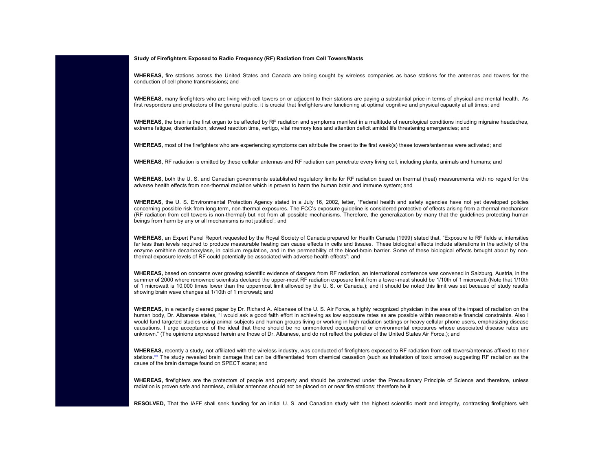# **Study of Firefighters Exposed to Radio Frequency (RF) Radiation from Cell Towers/Masts**

**WHEREAS,** fire stations across the United States and Canada are being sought by wireless companies as base stations for the antennas and towers for the conduction of cell phone transmissions; and

**WHEREAS,** many firefighters who are living with cell towers on or adjacent to their stations are paying a substantial price in terms of physical and mental health. As first responders and protectors of the general public, it is crucial that firefighters are functioning at optimal cognitive and physical capacity at all times; and

**WHEREAS,** the brain is the first organ to be affected by RF radiation and symptoms manifest in a multitude of neurological conditions including migraine headaches, extreme fatigue, disorientation, slowed reaction time, vertigo, vital memory loss and attention deficit amidst life threatening emergencies; and

**WHEREAS,** most of the firefighters who are experiencing symptoms can attribute the onset to the first week(s) these towers/antennas were activated; and

**WHEREAS,** RF radiation is emitted by these cellular antennas and RF radiation can penetrate every living cell, including plants, animals and humans; and

**WHEREAS,** both the U. S. and Canadian governments established regulatory limits for RF radiation based on thermal (heat) measurements with no regard for the adverse health effects from non-thermal radiation which is proven to harm the human brain and immune system; and

**WHEREAS**, the U. S. Environmental Protection Agency stated in a July 16, 2002, letter, "Federal health and safety agencies have not yet developed policies concerning possible risk from long-term, non-thermal exposures. The FCC's exposure guideline is considered protective of effects arising from a thermal mechanism (RF radiation from cell towers is non-thermal) but not from all possible mechanisms. Therefore, the generalization by many that the guidelines protecting human beings from harm by any or all mechanisms is not justified"; and

**WHEREAS,** an Expert Panel Report requested by the Royal Society of Canada prepared for Health Canada (1999) stated that, "Exposure to RF fields at intensities far less than levels required to produce measurable heating can cause effects in cells and tissues. These biological effects include alterations in the activity of the enzyme ornithine decarboxylase, in calcium regulation, and in the permeability of the blood-brain barrier. Some of these biological effects brought about by nonthermal exposure levels of RF could potentially be associated with adverse health effects"; and

**WHEREAS,** based on concerns over growing scientific evidence of dangers from RF radiation, an international conference was convened in Salzburg, Austria, in the summer of 2000 where renowned scientists declared the upper-most RF radiation exposure limit from a tower-mast should be 1/10th of 1 microwatt (Note that 1/10th of 1 microwatt is 10,000 times lower than the uppermost limit allowed by the U. S. or Canada.); and it should be noted this limit was set because of study results showing brain wave changes at 1/10th of 1 microwatt; and

**WHEREAS,** in a recently cleared paper by Dr. Richard A. Albanese of the U. S. Air Force, a highly recognized physician in the area of the impact of radiation on the human body, Dr. Albanese states, "I would ask a good faith effort in achieving as low exposure rates as are possible within reasonable financial constraints. Also I would fund targeted studies using animal subjects and human groups living or working in high radiation settings or heavy cellular phone users, emphasizing disease causations. I urge acceptance of the ideal that there should be no unmonitored occupational or environmental exposures whose associated disease rates areunknown." (The opinions expressed herein are those of Dr. Albanese, and do not reflect the policies of the United States Air Force.); and

WHEREAS, recently a study, not affiliated with the wireless industry, was conducted of firefighters exposed to RF radiation from cell towers/antennas affixed to their stations.\*\* The study revealed brain damage that can be differentiated from chemical causation (such as inhalation of toxic smoke) suggesting RF radiation as the cause of the brain damage found on SPECT scans; and

**WHEREAS,** firefighters are the protectors of people and property and should be protected under the Precautionary Principle of Science and therefore, unless radiation is proven safe and harmless, cellular antennas should not be placed on or near fire stations; therefore be it

**RESOLVED,** That the IAFF shall seek funding for an initial U. S. and Canadian study with the highest scientific merit and integrity, contrasting firefighters with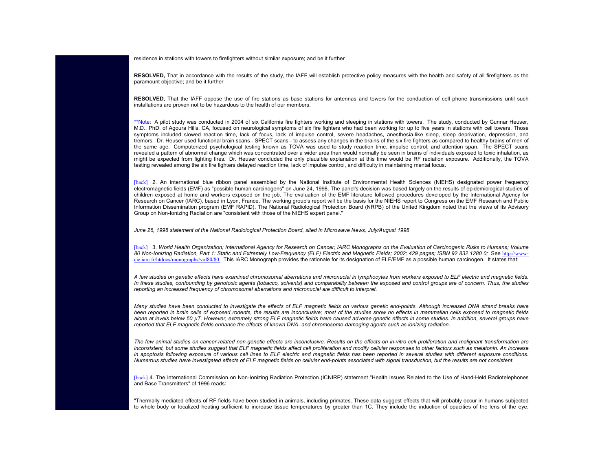residence in stations with towers to firefighters without similar exposure; and be it further

**RESOLVED,** That in accordance with the results of the study, the IAFF will establish protective policy measures with the health and safety of all firefighters as the paramount objective; and be it further

**RESOLVED,** That the IAFF oppose the use of fire stations as base stations for antennas and towers for the conduction of cell phone transmissions until such installations are proven not to be hazardous to the health of our members.

\*\*Note: A pilot study was conducted in 2004 of six California fire fighters working and sleeping in stations with towers. The study, conducted by Gunnar Heuser, M.D., PhD. of Agoura Hills, CA, focused on neurological symptoms of six fire fighters who had been working for up to five years in stations with cell towers. Those [sympt](http://www.iaff.org/hs/Facts/CellTowerFinal.asp#n2)oms included slowed reaction time, lack of focus, lack of impulse control, severe headaches, anesthesia-like sleep, sleep deprivation, depression, and tremors. Dr. Heuser used functional brain scans - SPECT scans - to assess any changes in the brains of the six fire fighters as compared to healthy brains of men of the same age. Computerized psychological testing known as TOVA was used to study reaction time, impulse control, and attention span. The SPECT scans revealed a pattern of abnormal change which was concentrated over a wider area than would normally be seen in brains of individuals exposed to toxic inhalation, as might be expected from fighting fires. Dr. Heuser concluded the only plausible explanation at this time would be RF radiation exposure. Additionally, the TOVA testing revealed among the six fire fighters delayed reaction time, lack of impulse control, and difficulty in maintaining mental focus.

[back] 2. An international blue ribbon panel assembled by the National Institute of Environmental Health Sciences (NIEHS) designated power frequency electromagnetic fields (EMF) as "possible human carcinogens" on June 24, 1998. The panel's decision was based largely on the results of epidemiological studies of [childre](http://www.iaff.org/hs/Facts/CellTowerFinal.asp#n3)n exposed at home and workers exposed on the job. The evaluation of the EMF literature followed procedures developed by the International Agency for Research on Cancer (IARC), based in Lyon, France. The working group's report will be the basis for the NIEHS report to Congress on the EMF Research [and Public](http://www-cie.iarc.fr/htdocs/monographs/vol80/80.html) [Information Dissemination program \(](http://www-cie.iarc.fr/htdocs/monographs/vol80/80.html)EMF RAPID). The National Radiological Protection Board (NRPB) of the United Kingdom noted that the views of its Advisory Group on Non-Ionizing Radiation are "consistent with those of the NIEHS expert panel."

*June 26, 1998 statement of the National Radiological Protection Board, sited in Microwave News, July/August 1998*

[back] 3. World Health Organization; International Agency for Research on Cancer; IARC Monographs on the Evaluation of Carcinogenic Risks to Humans; Volume *80 Non-Ionizing Radiation, Part 1: Static and Extremely Low-Frequency (ELF) Electric and Magnetic Fields; 2002; 429 pages; ISBN 92 832 1280 0;* See http://wwwcie.iarc.fr/htdocs/monographs/vol80/80. This IARC Monograph provides the rationale for its designation of ELF/EMF as a possible human carcinogen. It states that:

*A few studies on genetic effects have examined chromosomal aberrations and micronuclei in lymphocytes from workers exposed to ELF electric and magnetic fields. In these studies, confounding by genotoxic agents (tobacco, solvents) and comparability between the exposed and control groups are of concern. Thus, the studies reporting an increased frequency of chromosomal aberrations and micronuclei are difficult to interpret.*

*Many studies have been conducted to investigate the effects of ELF magnetic fields on various genetic end-points. Although increased DNA strand breaks have* been reported in brain cells of exposed rodents, the results are inconclusive; most of the studies show no effects in mammalian cells exposed to magnetic fields *alone at levels below 50 µT. However, extremely strong ELF magnetic fields have caused adverse genetic effects in some studies. In addition, several groups have [report](http://www.iaff.org/hs/Facts/CellTowerFinal.asp#n4)ed that ELF magnetic fields enhance the effects of known DNA- and chromosome-damaging agents such as ionizing radiation*.

*The few animal studies on cancer-related non-genetic effects are inconclusive. Results on the effects on in-vitro cell proliferation and malignant transformation are inconsistent, but some studies suggest that ELF magnetic fields affect cell proliferation and modify cellular responses to other factors such as melatonin. An increase in apoptosis following exposure of various cell lines to ELF electric and magnetic fields has been reported in several studies with different exposure conditions. Numerous studies have investigated effects of ELF magnetic fields on cellular end-points associated with signal transduction, but the results are not consistent*.

[back] 4. The International Commission on Non-Ionizing Radiation Protection (ICNIRP) statement "Health Issues Related to the Use of Hand-Held Radiotelephones and Base Transmitters" of 1996 reads:

"Thermally mediated effects of RF fields have been studied in animals, including primates. These data suggest effects that will probably occur in humans subjected to whole body or localized heating sufficient to increase tissue temperatures by greater than 1C. They include the induction of opacities of the lens of the eye,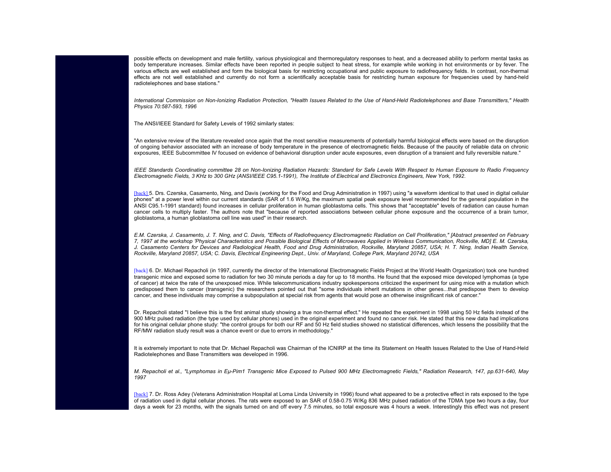possible effects on development and male fertility, various physiological and thermoregulatory responses to heat, and a decreased ability to perform mental tasks as body temperature increases. Similar effects have been reported in people subject to heat stress, for example while working in hot environments or by fever. The various effects are well established and form the biological basis for restricting occupational and public exposure to radiofrequency fields. In contrast, non-thermal effects are not well established and currently do not form a scientifically acceptable basis for restricting human exposure for frequencies used by hand-held radiotelephones and base stations."

*International Commission on Non-Ionizing Radiation Protection, "Health Issues Related to the Use of Hand-Held Radiotelephones and Base Transmitters," Health Physics 70:587-593, 1996*

The ANSI/IEEE Standard for Safety Levels of 1992 similarly states:

["An ex](http://www.iaff.org/hs/Facts/CellTowerFinal.asp#n5)tensive review of the literature revealed once again that the most sensitive measurements of potentially harmful biological effects were based on the disruption of ongoing behavior associated with an increase of body temperature in the presence of electromagnetic fields. Because of the paucity of reliable data on chronic exposures, IEEE Subcommittee IV focused on evidence of behavioral disruption under acute exposures, even disruption of a transient and fully reversible nature."

*IEEE Standards Coordinating committee 28 on Non-Ionizing Radiation Hazards: Standard for Safe Levels With Respect to Human Exposure to Radio Frequency Electromagnetic Fields, 3 KHz to 300 GHz (ANSI/IEEE C95.1-1991), The Institute of Electrical and Electronics Engineers, New York, 1992*.

[back] 5. Drs. Czerska, Casamento, Ning, and Davis (working for the Food and Drug Administration in 1997) using "a waveform identical to that used in digital cellular phones" at a power level within our current standards (SAR of 1.6 W/Kg, the maximum spatial peak exposure level recommended for the general population in the ANSI C95.1-1991 standard) found increases in cellular proliferation in human glioblastoma cells. This shows that "acceptable" levels of radiation can cause human cancer cells to multiply faster. The authors note that "because of reported associations between cellular phone exposure and the occurrence of a brain tumor, [gliobla](http://www.iaff.org/hs/Facts/CellTowerFinal.asp#n6)stoma, a human glioblastoma cell line was used" in their research.

*E.M. Czerska, J. Casamento, J. T. Ning, and C. Davis, "Effects of Radiofrequency Electromagnetic Radiation on Cell Proliferation," [Abstract presented on February 7, 1997 at the workshop 'Physical Characteristics and Possible Biological Effects of Microwaves Applied in Wireless Communication, Rockville, MD] E. M. Czerska,* J. Casamento Centers for Devices and Radiological Health, Food and Drug Administration, Rockville, Maryland 20857, USA; H. T. Ning, Indian Health Service, *Rockville, Maryland 20857, USA; C. Davis, Electrical Engineering Dept., Univ. of Maryland, College Park, Maryland 20742, USA*

[back] 6. Dr. Michael Repacholi (in 1997, currently the director of the International Electromagnetic Fields Project at the World Health Organization) took one hundred transgenic mice and exposed some to radiation for two 30 minute periods a day for up to 18 months. He found that the exposed mice developed lymphomas (a type of cancer) at twice the rate of the unexposed mice. While telecommunications industry spokespersons criticized the experiment for using mice with a mutation which predisposed them to cancer (transgenic) the researchers pointed out that "some individuals inherit mutations in other genes...that predispose them to develop cancer, and these individuals may comprise a subpopulation at special risk from agents that would pose an otherwise insignificant risk of cancer."

Dr. Repacholi stated "I believe this is the first animal study showing a true non-thermal effect." He repeated the experiment in 1998 using 50 Hz fields instead of the 900 MHz pulsed radiation (the type used by cellular phones) used in the original experiment and found no cancer risk. He stated that this new data had implications for his original cellular phone study: "the control groups for both our RF and 50 Hz field studies showed no statistical differences, which lessens the possibility that the RF/MW radiation study result was a chance event or due to errors in methodology."

[It](http://www.iaff.org/hs/Facts/CellTowerFinal.asp#n7) [is](http://www.iaff.org/hs/Facts/CellTowerFinal.asp#n7) [ex](http://www.iaff.org/hs/Facts/CellTowerFinal.asp#n7)tremely important to note that Dr. Michael Repacholi was Chairman of the ICNIRP at the time its Statement on Health Issues Related to the Use of Hand-Held Radiotelephones and Base Transmitters was developed in 1996.

*M. Repacholi et al., "Lymphomas in Eµ-Pim1 Transgenic Mice Exposed to Pulsed 900 MHz Electromagnetic Fields," Radiation Research, 147, pp.631-640, May 1997*

[back] 7. Dr. Ross Adey (Veterans Administration Hospital at Loma Linda University in 1996) found what appeared to be a protective effect in rats exposed to the type of radiation used in digital cellular phones. The rats were exposed to an SAR of 0.58-0.75 W/Kg 836 MHz pulsed radiation of the TDMA type two hours a day, four days a week for 23 months, with the signals turned on and off every 7.5 minutes, so total exposure was 4 hours a week. Interestingly this effect was not present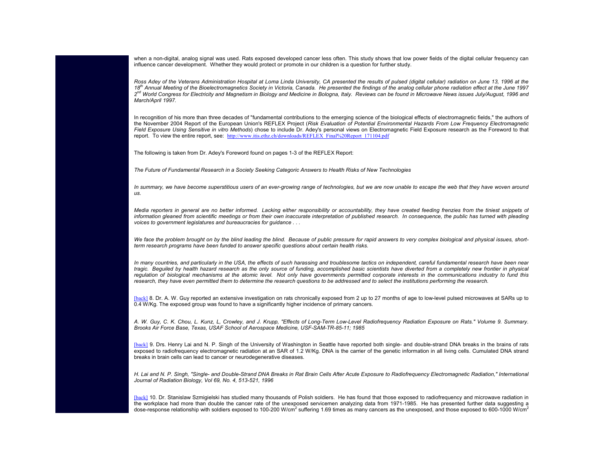when a non-digital, analog signal was used. Rats exposed developed cancer less often. This study shows that low power fields of the digital cellular frequency can influence cancer development. Whether they would protect or promote in our children is a question for further study.

*Ross Adey of the Veterans Administration Hospital at Loma Linda University, CA presented the results of pulsed (digital cellular) radiation on June 13, 1996 at the 18th Annual Meeting of the Bioelectrom[agnetics Society in Victoria, Canada. He presented the findings of the](http://www.itis.ethz.ch/downloads/REFLEX_Final%20Report_171104.pdf) analog cellular phone radiation effect at the June 1997 2nd World Congress for Electricity and Magnetism in Biology and Medicine in Bologna, Italy. Reviews can be found in Microwave News issues July/August, 1996 and March/April 1997.*

In recognition of his more than three decades of "fundamental contributions to the emerging science of the biological effects of electromagnetic fields," the authors of the November 2004 Report of the European Union's REFLEX Project (*Risk Evaluation of Potential Environmental Hazards From Low Frequency Electromagnetic Field Exposure Using Sensitive in vitro Methods*) chose to include Dr. Adey's personal views on Electromagnetic Field Exposure research as the Foreword to that report. To view the entire report, see:  $\frac{\text{http://www.itis.ethz.ch/downloads/REFLEX_Final\%20Report_171104.pdf}}{$ 

The following is taken from Dr. Adey's Foreword found on pages 1-3 of the REFLEX Report:

*The Future of Fundamental Research in a Society Seeking Categoric Answers to Health Risks of New Technologies*

*In summary, we have become superstitious users of an ever-growing range of technologies, but we are now unable to escape the web that they have woven around us.*

*Media reporters in general are no better informed. Lacking either responsibility or accountability, they have created feeding frenzies from the tiniest snippets of information gleaned from scientific meetings or from their own inaccurate interpretation of published research. In consequence, the public has turned with pleading voices to government legislatures and bureaucracies for guidance . . .*

*We face the problem brought on by the blind leading the blind. Because of public pressure for rapid answers to very complex biological and physical issues, short[term r](http://www.iaff.org/hs/Facts/CellTowerFinal.asp#n8)esearch programs have been funded to answer specific questions about certain health risks.*

In many countries, and particularly in the USA, the effects of such harassing and troublesome tactics on independent, careful fundamental research have been near *tragic. Beguiled by health hazard research as the only source of funding, accomplished basic scientists have diverted from a completely new frontier in physical regulation of biological mechanisms at the atomic level. Not only have governments permitted corporate interests in the communications industry to fund this research, they have even permitted them to determine the research questions to be addressed and to select the institutions performing the research.*

[\[back\]](http://www.iaff.org/hs/Facts/CellTowerFinal.asp#n9) 8. Dr. A. W. Guy reported an extensive investigation on rats chronically exposed from 2 up to 27 months of age to low-level pulsed microwaves at SARs up to 0.4 W/Kg. The exposed group was found to have a significantly higher incidence of primary cancers.

*A. W. Guy, C. K. Chou, L. Kunz, L, Crowley, and J. Krupp, "Effects of Long-Term Low-Level Radiofrequency Radiation Exposure on Rats." Volume 9. Summary. Brooks Air Force Base, Texas, USAF School of Aerospace Medicine, USF-SAM-TR-85-11; 1985*

[\[back\]](http://www.iaff.org/hs/Facts/CellTowerFinal.asp#n10) 9. Drs. Henry Lai and N. P. Singh of the University of Washington in Seattle have reported both single- and double-strand DNA breaks in the brains of rats exposed to radiofrequency electromagnetic radiation at an SAR of 1.2 W/Kg. DNA is the carrier of the genetic information in all living cells. Cumulated DNA strand breaks in brain cells can lead to cancer or neurodegenerative diseases.

*H. Lai and N. P. Singh, "Single- and Double-Strand DNA Breaks in Rat Brain Cells After Acute Exposure to Radiofrequency Electromagnetic Radiation," International Journal of Radiation Biology, Vol 69, No. 4, 513-521, 1996*

[back] 10. Dr. Stanislaw Szmigielski has studied many thousands of Polish soldiers. He has found that those exposed to radiofrequency and microwave radiation in the workplace had more than double the cancer rate of the unexposed servicemen analyzing data from 1971-1985. He has presented further data suggesting a dose-response relationship with soldiers exposed to 100-200 W/cm<sup>2</sup> suffering 1.69 times as many cancers as the unexposed, and those exposed to 600-1000 W/cm<sup>2</sup>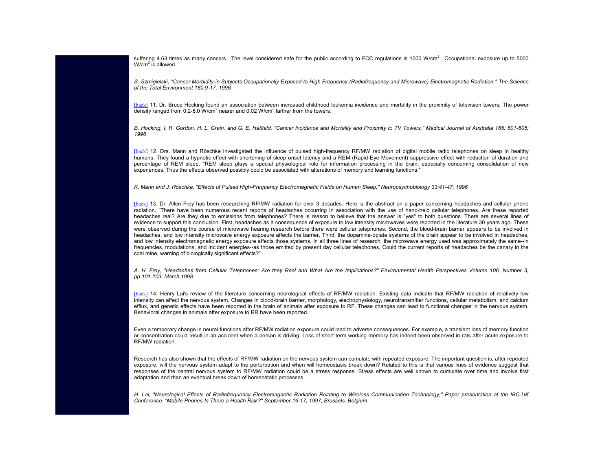[sufferi](http://www.iaff.org/hs/Facts/CellTowerFinal.asp#n11)ng 4.63 times as many cancers. The level considered safe for the public according to FCC regulations is 1000 W/cm<sup>2</sup>. Occupational exposure up to 5000  $W/cm<sup>2</sup>$  is allowed.

*S. Szmigielski, "Cancer Morbidity in Subjects Occupationally Exposed to High Frequency (Radiofrequency and Microwave) Electromagnetic Radiation," The Science of the Total Environment 180:9-17, 1996*

[\[back\]](http://www.iaff.org/hs/Facts/CellTowerFinal.asp#n12) 11. Dr. Bruce Hocking found an association between increased childhood leukemia incidence and mortality in the proximity of television towers. The power density ranged from 0.2-8.0 W/cm<sup>2</sup> nearer and 0.02 W/cm<sup>2</sup> farther from the towers.

*B. Hocking, I. R. Gordon, H. L. Grain, and G. E. Hatfield, "Cancer Incidence and Mortality and Proximity to TV Towers," Medical Journal of Australia 165: 601-605; 1996*

[\[back\]](http://www.iaff.org/hs/Facts/CellTowerFinal.asp#n13) 12. Drs. Mann and Röschke investigated the influence of pulsed high-frequency RF/MW radiation of digital mobile radio telephones on sleep in healthy humans. They found a hypnotic effect with shortening of sleep onset latency and a REM (Rapid Eye Movement) suppressive effect with reduction of duration and percentage of REM sleep. "REM sleep plays a special physiological role for information processing in the brain, especially concerning consolidation of new experiences. Thus the effects observed possibly could be associated with alterations of memory and learning functions."

*K. Mann and J. Röschke, "Effects of Pulsed High-Frequency Electromagnetic Fields on Human Sleep," Neuropsychobiology 33:41-47, 1996*

[back] 13. Dr. Allen Frey has been researching RF/MW radiation for over 3 decades. Here is the abstract on a paper concerning headaches and cellular phone radiation. "There have been numerous recent reports of headaches occurring in association with the use of hand-held cellular telephones. Are these reported headaches real? Are they due to emissions from telephones? There is reason to believe that the answer is "yes" to both questions. There are several lines of evidence to support this conclusion. First, headaches as a consequence of exposure to low intensity microwaves were reported in the literature 30 years ago. These were observed during the course of microwave hearing research before there were cellular telephones. Second, the blood-brain barrier appears to be involved in headaches, and low intensity microwave energy exposure affects the barrier. Third, the dopamine-opiate systems of the brain appear to be involved in headaches, [and lo](http://www.iaff.org/hs/Facts/CellTowerFinal.asp#n14)w intensity electromagnetic energy exposure affects those systems. In all three lines of research, the microwave energy used was approximately the same--in frequencies, modulations, and incident energies--as those emitted by present day cellular telephones, Could the current reports of headaches be the canary in the coal mine, warning of biologically significant effects?"

*A. H. Frey, "Headaches from Cellular Telephones: Are they Real and What Are the Implications?" Environmental Health Perspectives Volume 106, Number 3, pp.101-103, March 1998*

[back] 14. Henry Lai's review of the literature concerning neurological effects of RF/MW radiation: Existing data indicate that RF/MW radiation of relatively low intensity can affect the nervous system. Changes in blood-brain barrier, morphology, electrophysiology, neurotransmitter functions, cellular metabolism, and calcium efflux, and genetic effects have been reported in the brain of animals after exposure to RF. These changes can lead to functional changes in the nervous system. Behavioral changes in animals after exposure to RR have been reported.

Even a temporary change in neural functions after RF/MW radiation exposure could lead to adverse consequences. For example, a transient loss of memory function or concentration could result in an accident when a person is driving. Loss of short term working memory has indeed been observed in rats after acute exposure to RF/MW radiation.

Research has also shown that the effects of RF/MW radiation on the nervous system can cumulate with repeated exposure. The important question is, after repeated exposure, will the nervous system adapt to the perturbation and when will homeostasis break down? Related to this is that various lines of evidence suggest that responses of the central nervous system to RF/MW radiation could be a stress response. Stress effects are well known to cumulate over time and involve first adaptation and then an eventual break down of homeostatic processes.

*H. Lai, "Neurological Effects of Radiofrequency Electromagnetic Radiation Relating to Wireless Communication Technology," Paper presentation at the IBC-UK Conference: "Mobile Phones-Is There a Health Risk?" September 16-17, 1997, Brussels, Belgium*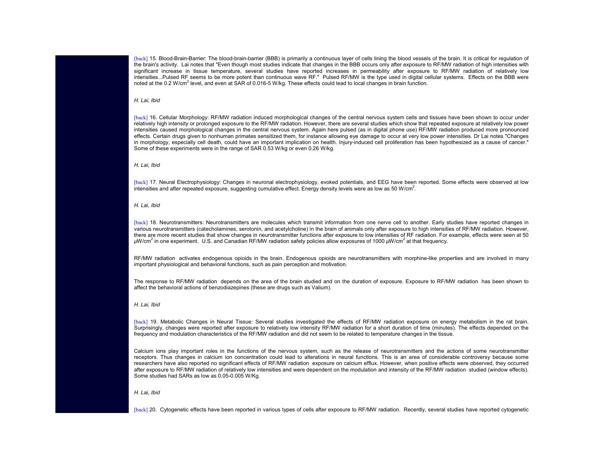[back] 15. Blood-Brain-Barrier: The blood-brain-barrier (BBB) is primarily a continuous layer of cells lining the blood vessels of the brain. It is critical for regulation of [the br](http://www.iaff.org/hs/Facts/CellTowerFinal.asp#n16)ain's activity. Lai notes that "Even though most studies indicate that changes in the BBB occurs only after exposure to RF/MW radiation of high intensities with significant increase in tissue temperature, several studies have reported increases in permeability after exposure to RF/MW radiation of relatively low intensities...Pulsed RF seems to be more potent than continuous wave RF." Pulsed RF/MW is the type used in digital cellular systems. Effects on the BBB were noted at the 0.2 W/cm<sup>2</sup> level, and even at SAR of 0.016-5 W/kg. These effects could lead to local changes in brain function.

# *H. Lai, Ibid*

[back] 16. Cellular Morphology: RF/MW radiation induced morphological changes of the central nervous system cells and tissues have been shown to occur under relatively high intensity or prolonged exposure to the RF/MW radiation. However, there are several studies which show that repeated exposure at relatively low power [intens](http://www.iaff.org/hs/Facts/CellTowerFinal.asp#n17)ities caused morphological changes in the central nervous system. Again here pulsed (as in digital phone use) RF/MW radiation produced more pronounced effects. Certain drugs given to nonhuman primates sensitized them, for instance allowing eye damage to occur at very low power intensities. Dr Lai notes "Changes in morphology, especially cell death, could have an important implication on health. Injury-induced cell proliferation has been hypothesized as a cause of cancer." Some of these experiments were in the range of SAR 0.53 W/kg or even 0.26 W/kg.

*H. L[a](http://www.iaff.org/hs/Facts/CellTowerFinal.asp#n18)i, Ibid*

[back] 17. Neural Electrophysiology: Changes in neuronal electrophysiology, evoked potentials, and EEG have been reported. Some effects were observed at low intensities and after repeated exposure, suggesting cumulative effect. Energy density levels were as low as 50 W/cm<sup>2</sup>.

*H. Lai, Ibid*

[back] 18. Neurotransmitters: Neurotransmitters are molecules which transmit information from one nerve cell to another. Early studies have reported changes in various neurotransmitters (catecholamines, serotonin, and acetylcholine) in the brain of animals only after exposure to high intensities of RF/MW radiation. However, there are more recent studies that show changes in neurotransmitter functions after exposure to low intensities of RF radiation. For example, effects were seen at 50 *µ*W/cm<sup>2</sup> in one experiment. U.S. and Canadian RF/MW radiation safety policies allow exposures of 1000 *µ*W/cm<sup>2</sup> at that frequency.

RF/MW radiation activates endogenous opioids in the brain. Endogenous opioids are neurotransmitters with morphine-like properties and are involved in many im[p](http://www.iaff.org/hs/Facts/CellTowerFinal.asp#n19)ortant physiological and behavioral functions, such as pain perception and motivation.

The response to RF/MW radiation depends on the area of the brain studied and on the duration of exposure. Exposure to RF/MW radiation has been shown to affect the behavioral actions of benzodiazepines (these are drugs such as Valium).

*H. Lai, Ibid*

[back] 19. Metabolic Changes in Neural Tissue: Several studies investigated the effects of RF/MW radiation exposure on energy metabolism in the rat brain. Surprisingly, changes were reported after exposure to relatively low intensity RF/MW radiation for a short duration of time (minutes). The effects depended on the frequency and modulation characteristics of the RF/MW radiation and did not seem to be related to temperature changes in the tissue.

Calcium ions play important roles in the functions of the nervous system, such as the release of neurotransmitters and the actions of some neurotransmitter [recepto](http://www.iaff.org/hs/Facts/CellTowerFinal.asp#n20)rs. Thus changes in calcium ion concentration could lead to alterations in neural functions. This is an area of considerable controversy because some researchers have also reported no significant effects of RF/MW radiation exposure on calcium efflux. However, when positive effects were observed, they occurred after exposure to RF/MW radiation of relatively low intensities and were dependent on the modulation and intensity of the RF/MW radiation studied (window effects). Some studies had SARs as low as 0.05-0.005 W/Kg.

*H. Lai, Ibid*

[back] 20. Cytogenetic effects have been reported in various types of cells after exposure to RF/MW radiation. Recently, several studies have reported cytogenetic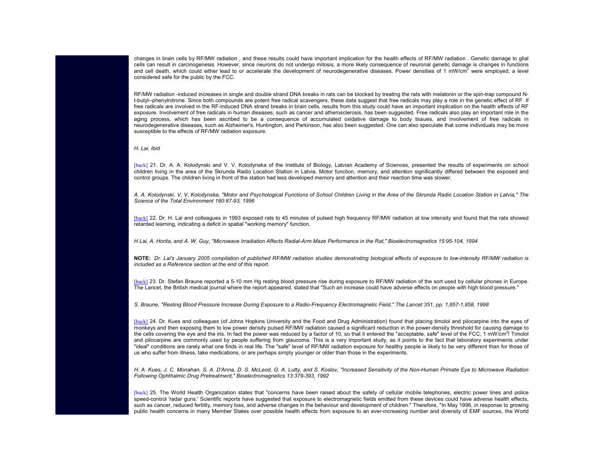changes in brain cells by RF/MW radiation , and these results could have important implication for the health effects of RF/MW radiation . Genetic damage to glial cells can result in carcinogenesis. However, since neurons do not undergo mitosis, a more likely consequence of neuronal genetic damage is changes in functions and cell death, which could either lead to or accelerate the development of neurodegenerative diseases. Power densities of 1 mW/cm<sup>2</sup> were employed, a level considered safe for the public by the FCC.

RF/MW radiation -induced increases in single and double strand DNA breaks in rats can be blocked by treating the rats with melatonin or the spin-trap compound N t-butyl--phenylnitrone. Since both compounds are potent free radical scavengers, these data suggest that free radicals may play a role in the genetic effect of RF. If free radicals are involved in the RF-induced DNA strand breaks in brain cells, results from this study could have an important implication on the health effects of RF [expos](http://www.iaff.org/hs/Facts/CellTowerFinal.asp#n21)ure. Involvement of free radicals in human diseases, such as cancer and atherosclerosis, has been suggested. Free radicals also play an important role in the aging process, which has been ascribed to be a consequence of accumulated oxidative damage to body tissues, and involvement of free radicals in neurodegenerative diseases, such as Alzheimer's, Huntington, and Parkinson, has also been suggested. One can also speculate that some individuals may be more susceptible to the effects of RF/MW radiation exposure.

*H. Lai, Ibid*

[\[back\]](http://www.iaff.org/hs/Facts/CellTowerFinal.asp#n22) 21. Dr. A. A. Kolodynski and V. V. Kolodynska of the Institute of Biology, Latvian Academy of Sciences, presented the results of experiments on school children living in the area of the Skrunda Radio Location Station in Latvia. Motor function, memory, and attention significantly differed between the exposed and control groups. The children living in front of the station had less developed memory and attention and their reaction time was slower.

*A. A. Kolodynski, V. V. Kolodynska, "Motor and Psychological Functions of School Children Living in the Area of the Skrunda Radio Location Station in Latvia," The Science of the Total Environment 180:87-93, 1996*

[back] 22. Dr. H. Lai and colleagues in 1993 exposed rats to 45 minutes of pulsed high frequency RF/MW radiation at low intensity and found that the rats showed retarded learning, indicating a deficit in spatial "working memory" function.

*H Lai, A. Horita, and A. W. Guy, "Microwave Irradiation Affects Radial-Arm Maze Performance in the Rat," Bioelectromagnetics 15:95-104, 1994*

**NOTE:** *Dr. Lai's January 2005 compilation of published RF/MW radiation studies demonstrating biological effects of exposure to low-intensity RF/MW radiation is included as a Reference section at the end of this report.*

[back] 23. Dr. Stefan Braune reported a 5-10 mm Hg resting blood pressure rise during exposure to RF/MW radiation of the sort used by cellular phones in Europe. The Lancet, the British medical journal where the report appeared, stated that "Such an increase could have adverse effects on people with high blood pressure."

*S. Braune, "Resting Blood Pressure Increase During Exposure to a Radio-Frequency Electromagnetic Field," The Lancet 351, pp. 1,857-1,858, 1998*

[back] 24. Dr. Kues and colleagues (of Johns Hopkins University and the Food and Drug Administration) found that placing timolol and pilocarpine into the eyes of monkeys and then exposing them to low power density pulsed RF/MW radiation caused a significant reduction in the power-density threshold for causing damage to the cells covering the eye and the iris. In fact the power was reduced by a factor of 10, so that it entered the "acceptable, safe" level of the FCC, 1 mW/cm<sup>2</sup>! Timolol [and pi](http://www.iaff.org/hs/Facts/CellTowerFinal.asp#n25)locarpine are commonly used by people suffering from glaucoma. This is a very important study, as it points to the fact that laboratory experiments under "ideal" conditions are rarely what one finds in real life. The "safe" level of RF/MW radiation exposure for healthy people is likely to be very different than for those of us who suffer from illness, take medications, or are perhaps simply younger or older than those in the experiments.

*H. A. Kues, J. C. Monahan, S. A. D'Anna, D. S. McLeod, G. A. Lutty, and S. Koslov, "Increased Sensitivity of the Non-Human Primate Eye to Microwave Radiation Following Ophthalmic Drug Pretreatment," Bioelectromagnetics 13:379-393, 1992*

[back] 25. The World Health Organization states that "concerns have been raised about the safety of cellular mobile telephones, electric power lines and police speed-control 'radar guns.' Scientific reports have suggested that exposure to electromagnetic fields emitted from these devices could have adverse health effects, such as cancer, reduced fertility, memory loss, and adverse changes in the behaviour and development of children." Therefore, "In May 1996, in response to growing public health concerns in many Member States over possible health effects from exposure to an ever-increasing number and diversity of EMF sources, the World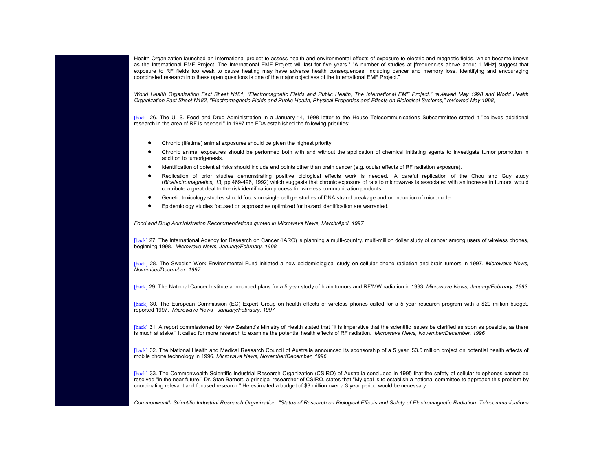Health Organization launched an international project to assess health and environmental effects of exposure to electric and magnetic fields, which became known [as the](http://www.iaff.org/hs/Facts/CellTowerFinal.asp#n26) International EMF Project. The International EMF Project will last for five years." "A number of studies at [frequencies above about 1 MHz] suggest that exposure to RF fields too weak to cause heating may have adverse health consequences, including cancer and memory loss. Identifying and encouraging coordinated research into these open questions is one of the major objectives of the International EMF Project."

*World Health Organization Fact Sheet N181, "Electromagnetic Fields and Public Health, The International EMF Project," reviewed May 1998 and World Health Organization Fact Sheet N182, "Electromagnetic Fields and Public Health, Physical Properties and Effects on Biological Systems," reviewed May 1998,* 

[back] 26. The U. S. Food and Drug Administration in a January 14, 1998 letter to the House Telecommunications Subcommittee stated it "believes additional research in the area of RF is needed." In 1997 the FDA established the following priorities:

- •Chronic (lifetime) animal exposures should be given the highest priority.
- • Chronic animal exposures should be performed both with and without the application of chemical initiating agents to investigate tumor promotion in addition to tumorigenesis.
- •Identification of potential risks should include end points other than brain cancer (e.g. ocular effects of RF radiation exposure).
- • Replication of prior studies demonstrating positive biological effects work is needed. A careful replication of the Chou and Guy study (*Bioelectromagnetics, 13,* pp.469-496, 1992) which suggests that chronic exposure of rats to microwaves is associated with an increase in tumors, would contribute a great deal to the risk identification process for wireless communication products.
- •Genetic toxicology studies should focus on single cell gel studies of DNA strand breakage and on induction of micronuclei.
- •Epidemiology studies focused on approaches optimized for hazard identification are warranted.

*Food and Drug Administration Recommendations quoted in Microwave News, March/April, 1997*

[\[back\]](http://www.iaff.org/hs/Facts/CellTowerFinal.asp#n29) 27. The International Agency for Research on Cancer (IARC) is planning a multi-country, multi-million dollar study of cancer among users of wireless phones, be[g](http://www.iaff.org/hs/Facts/CellTowerFinal.asp#n30)inning 1998. *Microwave News, January/February, 1998*

[back] 28. The Swedish Work Environmental Fund initiated a new epidemiological study on cellular phone radiation and brain tumors in 1997. *Microwave News, November/December, 1997*

[back] 29. The National Cancer Institute announced plans for a 5 year study of brain tumors and RF/MW radiation in 1993. *Microwave News, January/February, 1993*

[\[back\]](http://www.iaff.org/hs/Facts/CellTowerFinal.asp#n32) 30. The European Commission (EC) Expert Group on health effects of wireless phones called for a 5 year research program with a \$20 million budget, reported 1997. *Microwave News , January/February, 1997*

[\[back\]](http://www.iaff.org/hs/Facts/CellTowerFinal.asp#n33) 31. A report commissioned by New Zealand's Ministry of Health stated that "It is imperative that the scientific issues be clarified as soon as possible, as there is much at stake." It called for more research to examine the potential health effects of RF radiation. *Microwave News, November/December, 1996*

[back] 32. The National Health and Medical Research Council of Australia announced its sponsorship of a 5 year, \$3.5 million project on potential health effects of mobile phone technology in 1996. *Microwave News, November/December, 1996*

[back] 33. The Commonwealth Scientific Industrial Research Organization (CSIRO) of Australia concluded in 1995 that the safety of cellular telephones cannot be resolved "in the near future." Dr. Stan Barnett, a principal researcher of CSIRO, states that "My goal is to establish a national committee to approach this problem by coordinating relevant and focused research." He estimated a budget of \$3 million over a 3 year period would be necessary.

*Commonwealth Scientific Industrial Research Organization, "Status of Research on Biological Effects and Safety of Electromagnetic Radiation: Telecommunications*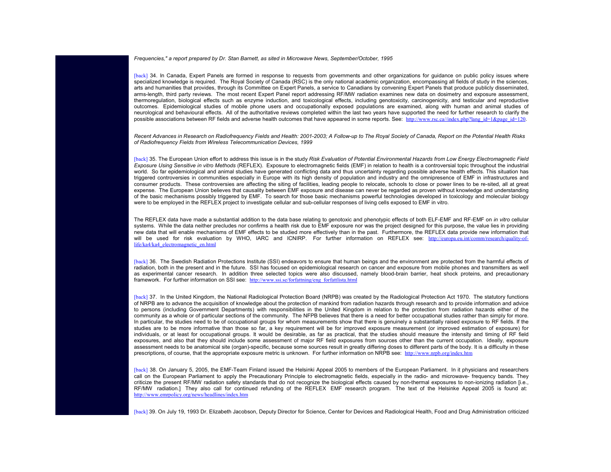*Frequencies," a report prepared by Dr. Stan Barnett, as sited in Microwave News, September/October, 1995*

[back] 34. In Canada, Expert Panels are formed in response to requests from governments and other organiza[ti](http://www.rsc.ca/index.php?lang_id=1&page_id=120)ons [f](http://www.rsc.ca/index.php?lang_id=1&page_id=120)or qu[id](http://www.rsc.ca/index.php?lang_id=1&page_id=120)ance on pu[bli](http://www.rsc.ca/index.php?lang_id=1&page_id=120)c po[li](http://www.rsc.ca/index.php?lang_id=1&page_id=120)cy [i](http://www.rsc.ca/index.php?lang_id=1&page_id=120)ssues w[h](http://www.rsc.ca/index.php?lang_id=1&page_id=120)ere specialized knowledge is required. The Royal Society of Canada (RSC) is the only national academic organization, encompassing all fields of study in the sciences, arts and humanities that provides, through its Committee on Expert Panels, a service to Canadians by convening Expert Panels that produce publicly disseminated, arms-length, third party reviews. The most recent Expert Panel report addressing RF/MW radiation examines new data on dosimetry and exposure assessment, thermoregulation, biological effects such as enzyme induction, and toxicological effects, including genotoxicity, carcinogenicity, and testicular and reproductive [outcom](http://www.iaff.org/hs/Facts/CellTowerFinal.asp#n35)es. Epidemiological studies of mobile phone users and occupationally exposed populations are examined, along with human and animal studies of neurological and behavioural effects. All of the authoritative reviews completed within the last two years have supported the need for further research to clarify the possible associations between RF fields and adverse health outcomes that have appeared in some reports. See: http://www.rsc.ca//index.php?lang\_id=1&page\_id=120.

*Recent Advances in Research on Radiofrequency Fields and Health: 2001-2003; A Follow-up to The Royal Society of Canada, Report on the Potential Health Risks of Radiofrequency Fields from Wireless Telecommunication Devices, 1999*

[back] 35. The European Union effort to address this issue is in the study *Risk Evaluation of Potential Environmental Hazards from Low Energy Electromagnetic Field Exposure Using Sensitive in vitro Methods* (REFLEX). Exposure to electromagnetic fields (EMF) in relation to health is a controversial topic throughout the industrial world. So far epidemiological and animal studies have generated conflicting data and thus uncertainty regarding possible adverse health effects. This situation has triggered controversies in communities especially in Europe with its high density of population and industry and the omnipresence of EMF in infrastructures and consumer products. These controversies are affecting the siting of facilities, leading people to relocate, schools to close or power lines to be re-sited, all at great expense. The European Union believes that causality between EMF exposure and disease can never be regarded as pro[ven without knowledge and understanding](http://europa.eu.int/comm/research/quality-of-life/ka4/ka4_electromagnetic_en.html) [of the basic mechanisms possibly](http://europa.eu.int/comm/research/quality-of-life/ka4/ka4_electromagnetic_en.html) triggered by EMF. To search for those basic mechanisms powerful technologies developed in toxicology and molecular biology were to be employed in the REFLEX project to investigate cellular and sub-cellular responses of living cells exposed to EMF in vitro.

The REFLEX data have made a substantial addition to the data base relating to genotoxic and phenotypic effects of both ELF-EMF and RF-EMF on *in vitro* cellular systems. While the data neither precludes nor confirms a health risk due to EMF exposure nor was the project designed for this purpose, the value lies in providing new data that will enable mechanisms of EMF eff[ects to be studied more effectively than in the](http://www.ssi.se/forfattning/eng_forfattlista.html) past. Furthermore, the REFLEX data provide new information that will be used for risk evaluation by WHO, IARC and ICNIRP. For further information on REFLEX see: http://europa.eu.int/comm/research/quality-of[life/ka4](http://www.iaff.org/hs/Facts/CellTowerFinal.asp#n37)/ka4\_electromagnetic\_en.html

[back] 36. The Swedish Radiation Protections Institute (SSI) endeavors to ensure that human beings and the environment are protected from the harmful effects of radiation, both in the present and in the future. SSI has focused on epidemiological research on cancer and exposure from mobile phones and transmitters as well as experimental cancer research. In addition three selected topics were also discussed, namely blood-brain barrier, heat shock proteins, and precautionary framework. For further information on SSI see: http://www.ssi.se/forfattning/eng\_forfattlista.html

[back] 37. In the United Kingdom, the National Radiological Protection Board (NRPB) was created by the Radiological Protection Act 1970. The statutory functions of NRPB are to advance the acquisition of knowledge about the protection of mankind from radiation hazards through [research and to provide inform](http://www.nrpb.org/index.htm)ation and advice to persons (including Government Departments) with responsibilities in the United Kingdom in relation to the protection from radiation hazards either of the community as a whole or of particular sections of the community. The NFPB believes that there is a need for better occupational studies rather than simply for more. [In par](http://www.iaff.org/hs/Facts/CellTowerFinal.asp#n38)ticular, the studies need to be of occupational groups for whom measurements show that there is genuinely a substantially raised exposure to RF fields. If the studies are to be more informative than those so far, a key requirement will be for improved exposure measurement (or improved estimation of exposure) for individuals, or at least for occupational groups. It would be desirable, as far as practical, that the studies should measure the intensity and timing of RF field exposures, and also that they should include some assessment of major RF field exposures from sources other than the current occupation. Ideally, exposure [assessment needs to be anatomical site \(organ\)](http://www.emrpolicy.org/news/headlines/index.htm)-specific, because some sources result in greatly differing doses to different parts of the body. It is a difficulty in these prescriptions, of course, that the appropriate exposure metric is unknown. For further information on NRPB see: http://www.nrpb.org/index.htm

[back] 38. On January 5, 2005, the EMF-Team Finland issued the Helsinki Appeal 2005 to members of the European Parliament. In it physicians and researchers call on the European Parliament to apply the Precautionary Principle to electromagnetic fields, especially in the radio- and microwave- frequency bands. They criticize the present RF/MW radiation safety standards that do not recognize the biological effects caused by non-thermal exposures to non-ionizing radiation [i.e., RF/MW radiation.] They also call for continued refunding of the REFLEX EMF research program. The text of the Helsinke Appeal 2005 is found at:http://www.emrpolicy.org/news/headlines/index.htm

[back] 39. On July 19, 1993 Dr. Elizabeth Jacobson, Deputy Director for Science, Center for Devices and Radiological Health, Food and Drug Administration criticized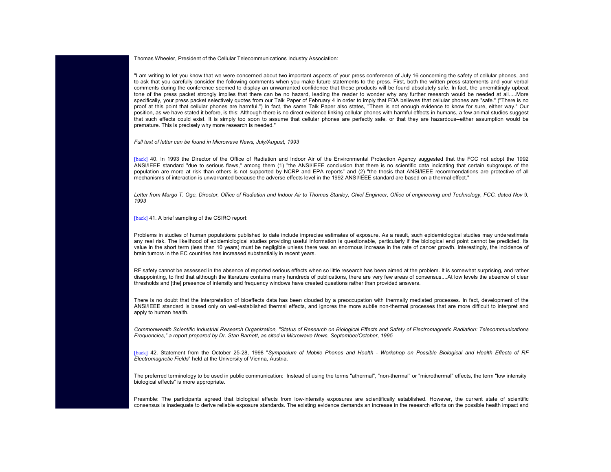Thomas Wheeler, President of the Cellular Telecommunications Industry Association:

"I am writing to let you know that we were concerned about two important aspects of your press conference of July 16 concerning the safety of cellular phones, and to ask that you carefully consider the following comments when you make future statements to the press. First, both the written press statements and your verbal comments during the conference seemed to display an unwarranted confidence that these products will be found absolutely safe. In fact, the unremittingly upbeat tone of the press packet strongly implies that there can be no hazard, leading the reader to wonder why any further research would be needed at all.....More specifically, your press packet selectively quotes from our Talk Paper of February 4 in order to imply that FDA believes that cellular phones are "safe." ("There is no [proof](http://www.iaff.org/hs/Facts/CellTowerFinal.asp#n40) at this point that cellular phones are harmful.") In fact, the same Talk Paper also states, "There is not enough evidence to know for sure, either way." Our position, as we have stated it before, is this: Although there is no direct evidence linking cellular phones with harmful effects in humans, a few animal studies suggest that such effects could exist. It is simply too soon to assume that cellular phones are perfectly safe, or that they are hazardous--either assumption would be premature. This is precisely why more research is needed."

*Full text of letter can be found in Microwave News, July/August, 1993*

[back] 40. In 1993 the Director of the Office of Radiation and Indoor Air of the Environmental Protection Agency suggested that the FCC not adopt the 1992 [ANSI/](http://www.iaff.org/hs/Facts/CellTowerFinal.asp#n41)IEEE standard "due to serious flaws," among them (1) "the ANSI/IEEE conclusion that there is no scientific data indicating that certain subgroups of the population are more at risk than others is not supported by NCRP and EPA reports" and (2) "the thesis that ANSI/IEEE recommendations are protective of all mechanisms of interaction is unwarranted because the adverse effects level in the 1992 ANSI/IEEE standard are based on a thermal effect."

Letter from Margo T. Oge, Director, Office of Radiation and Indoor Air to Thomas Stanley, Chief Engineer, Office of engineering and Technology, FCC, dated Nov 9, *1993*

[back] 41. A brief sampling of the CSIRO report:

Problems in studies of human populations published to date include imprecise estimates of exposure. As a result, such epidemiological studies may underestimate any real risk. The likelihood of epidemiological studies providing useful information is questionable, particularly if the biological end point cannot be predicted. Its value in the short term (less than 10 years) must be negligible unless there was an enormous increase in the rate of cancer growth. Interestingly, the incidence of brain tumors in the EC countries has increased substantially in recent years.

RF safety cannot be assessed in the absence of reported serious effects when so little research has been aimed at the problem. It is somewhat surprising, and rather disappointing, to find that although the literature contains many hundreds of publications, there are very few areas of consensus....At low levels the absence of clear thresholds and [the] presence of intensity and frequency windows have created questions rather than provided answers.

[There](http://www.iaff.org/hs/Facts/CellTowerFinal.asp#n42) is no doubt that the interpretation of bioeffects data has been clouded by a preoccupation with thermally mediated processes. In fact, development of the ANSI/IEEE standard is based only on well-established thermal effects, and ignores the more subtle non-thermal processes that are more difficult to interpret and apply to human health.

*Commonwealth Scientific Industrial Research Organization, "Status of Research on Biological Effects and Safety of Electromagnetic Radiation: Telecommunications Frequencies," a report prepared by Dr. Stan Barnett, as sited in Microwave News, September/October, 1995*

[back] 42. Statement from the October 25-28, 1998 "*Symposium of Mobile Phones and Health - Workshop on Possible Biological and Health Effects of RF Electromagnetic Fields*" held at the University of Vienna, Austria.

The preferred terminology to be used in public communication: Instead of using the terms "athermal", "non-thermal" or "microthermal" effects, the term "low intensity biological effects" is more appropriate.

Preamble: The participants agreed that biological effects from low-intensity exposures are scientifically established. However, the current state of scientific consensus is inadequate to derive reliable exposure standards. The existing evidence demands an increase in the research efforts on the possible health impact and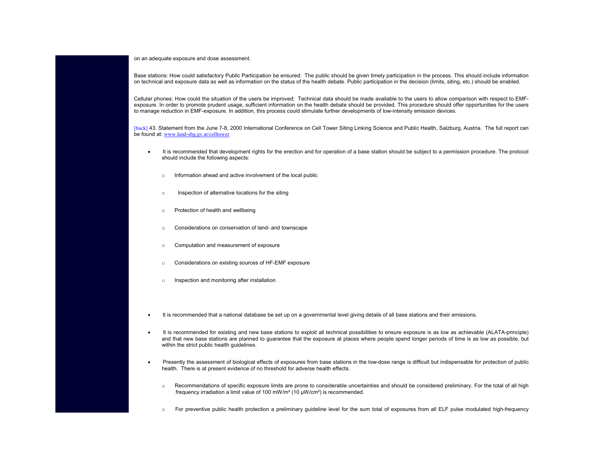on an adequate exposure and dose assessment.

[Base s](http://www.iaff.org/hs/Facts/CellTowerFinal.asp#n43)tations: How could satisfactory Public Participation be ensured: The public should be given timely participation in the process. This should include information on technical [and exposure data as well as](http://www.land-sbg.gv.at/celltower) information on the status of the health debate. Public participation in the decision (limits, siting, etc.) should be enabled.

Cellular phones: How could the situation of the users be improved: Technical data should be made available to the users to allow comparison with respect to EMF exposure. In order to promote prudent usage, sufficient information on the health debate should be provided. This procedure should offer opportunities for the users to manage reduction in EMF-exposure. In addition, this process could stimulate further developments of low-intensity emission devices.

[back] 43. Statement from the June 7-8, 2000 International Conference on Cell Tower Siting Linking Science and Public Health, Salzburg, Austria. The full report can be found at: <u>www.land-sbg.gv.at/celltower</u>

- • It is recommended that development rights for the erection and for operation of a base station should be subject to a permission procedure. The protocol should include the following aspects:
	- oInformation ahead and active involvement of the local public
	- oInspection of alternative locations for the siting
	- oProtection of health and wellbeing
	- oConsiderations on conservation of land- and townscape
	- oComputation and measurement of exposure
	- oConsiderations on existing sources of HF-EMF exposure
	- oInspection and monitoring after installation
- •It is recommended that a national database be set up on a governmental level giving details of all base stations and their emissions.
- • It is recommended for existing and new base stations to exploit all technical possibilities to ensure exposure is as low as achievable (ALATA-principle) and that new base stations are planned to guarantee that the exposure at places where people spend longer periods of time is as low as possible, but within the strict public health guidelines.
- •Presently the assessment of biological effects of exposures from base stations in the low-dose range is difficult but indispensable for protection of public health. There is at present evidence of no threshold for adverse health effects.
	- o Recommendations of specific exposure limits are prone to considerable uncertainties and should be considered preliminary. For the total of all high frequency irradiation a limit value of 100 mW/m² (10 µW/cm²) is recommended.
	- o For preventive public health protection a preliminary guideline level for the sum total of exposures from all ELF pulse modulated high-frequency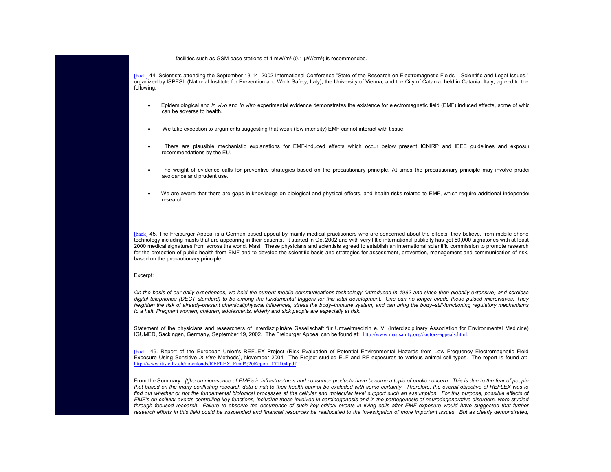facilities such as GSM base stations of 1 mW/m² (0.1 µW/cm²) is recommended.

[back] 44. Scientists attending the September 13-14, 2002 International Conference "State of the Research on Electromagnetic Fields – Scientific and Legal Issues," organized by ISPESL (National Institute for Prevention and Work Safety, Italy), the University of Vienna, and the City of Catania, held in Catania, Italy, agreed to the following:

- • Epidemiological and *in vivo* and *in vitro* experimental evidence demonstrates the existence for electromagnetic field (EMF) induced effects, some of which can be adverse to health.
- •We take exception to arguments suggesting that weak (low intensity) EMF cannot interact with tissue.
- •There are plausible mechanistic explanations for EMF-induced effects which occur below present ICNIRP and IEEE quidelines and exposure recommendations by the EU.
- •The weight of evidence calls for preventive strategies based on the precautionary principle. At times the precautionary principle may involve prudent avoidance and prudent use.
- •We are aware that there are gaps in knowledge on biological and physical effects, and health risks related to EMF, which require additional independent research.

[back] 45. The Freiburger Appeal is a German based appeal by mainly medical practitioners who are concerned about the effects, they believe, from mobile phone technology including masts that are appearing in their patients. It started in Oct 2002 and with very little international publicity has got 50,000 signatories with at least 2000 medical signatures from across the world. Mast These physicians and scientists agreed to establish an international scientific commission to promote research for the protection of public health from EMF and to develop the scientific basis and strategies for assessment, prevention, management and communication of risk, based on the precautionary principle.

#### Excerpt:

*On the basis of our daily experiences, we hold the current mobile communications technology (introduced in 1992 and since then globally extensive) and cordless [digital](http://www.iaff.org/hs/Facts/CellTowerFinal.asp#n46) telephones (DECT standard) to be among the fundamental triggers for this fatal development. One can no longer evade these pulsed microwaves. They heighten the risk of already-present chemical/physical influences, stress the body–immune system, and can bring the body–still-functioning regulatory mechanisms [to a halt. Pregnant women, children, adolescents, elderly and sick peo](http://www.itis.ethz.ch/downloads/REFLEX_Final%20Report_171104.pdf)ple are especially at risk.*

Statement of the physicians and researchers of Interdisziplinäre Gesellschaft für Umweltmedizin e. V. (Interdisciplinary Association for Environmental Medicine) IGUMED, Sackingen, Germany, September 19, 2002. The Freiburger Appeal can be found at: http://www.mastsanity.org/doctors-appeals.html.

[back] 46. Report of the European Union's REFLEX Project (Risk Evaluation of Potential Environmental Hazards from Low Frequency Electromagnetic Field Exposure Using Sensitive *in vitro* Methods), November 2004. The Project studied ELF and RF exposures to various animal cell types. The report is found at:http://www.itis.ethz.ch/downloads/REFLEX\_Final%20Report\_171104.pdf

From the Summary: *[t]he omnipresence of EMF's in infrastructures and consumer products have become a topic of public concern. This is due to the fear of people that based on the many conflicting research data a risk to their health cannot be excluded with some certainty. Therefore, the overall objective of REFLEX was to find out whether or not the fundamental biological processes at the cellular and molecular level support such an assumption. For this purpose, possible effects of EMF's on cellular events controlling key functions, including those involved in carcinogenesis and in the pathogenesis of neurodegenerative disorders, were studied through focused research. Failure to observe the occurrence of such key critical events in living cells after EMF exposure would have suggested that further* research efforts in this field could be suspended and financial resources be reallocated to the investigation of more important issues. But as clearly demonstrated,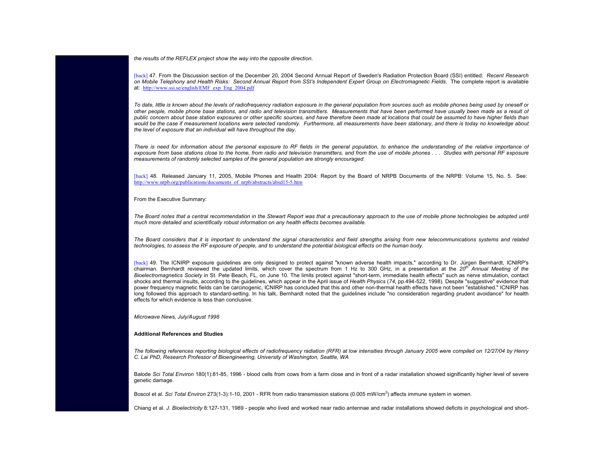*the results of the REFLEX project show the way into the opposite direction.*

[back] 47. From the Discussion section of the December 20, 2004 Second Annual Report of Sweden's Radiation Protection Board (SSI) entitled: *Recent Research on Mobile Telephony and Health Risks: Second Annual Report from SSI's Independent Expert Group on Electromagnetic Fields*. The complete report is available at: http://www.ssi.se/english/EMF\_exp\_Eng\_2004.pdf

*To date, little is known about the levels of radiofrequency radiation exposure in the general population from sources such as mobile phones being used by oneself or other people, mobile phone base stations, and radio and television transmitters. Measurements that have been performed have usually been made as a result of public concern about base station exposures or other specific sources, and have therefore been made at locations that could be assumed to have higher fields than [would b](http://www.iaff.org/hs/Facts/CellTowerFinal.asp#n48)e the case if measurement locations were selected randomly. Furthermore, all measurements have been stationary, and there is today no knowledge about [the level of exposure that an individual will have throughout the day.](http://www.nrpb.org/publications/documents_of_nrpb/abstracts/absd15-5.htm)*

There is need for information about the personal exposure to RF fields in the general population, to enhance the understanding of the relative importance of *exposure from base stations close to the home, from radio and television transmitters, and from the use of mobile phones . . . Studies with personal RF exposure measurements of randomly selected samples of the general population are strongly encouraged.*

[back] 48. Released January 11, 2005, Mobile Phones and Health 2004: Report by the Board of NRPB Documents of the NRPB: Volume 15, No. 5. See:http://www.nrpb.org/publications/documents\_of\_nrpb/abstracts/absd15-5.htm

From the Executive Summary:

[The](http://www.iaff.org/hs/Facts/CellTowerFinal.asp#n49) [Bo](http://www.iaff.org/hs/Facts/CellTowerFinal.asp#n49)ard notes that a central recommendation in the Stewart Report was that a precautionary approach to the use of mobile phone technologies be adopted until *much more detailed and scientifically robust information on any health effects becomes available.*

*The Board considers that it is important to understand the signal characteristics and field strengths arising from new telecommunications systems and related technologies, to assess the RF exposure of people, and to understand the potential biological effects on the human body.*

[back] 49. The ICNIRP exposure guidelines are only designed to protect against "known adverse health impacts," according to Dr. Jürgen Bernhardt, ICNIRP's chairman. Bernhardt reviewed the updated limits, which cover the spectrum from 1 Hz to 300 GHz, in a presentation at the *20th Annual Meeting of the Bioelectromagnetics Society* in St. Pete Beach, FL, on June 10. The limits protect against "short-term, immediate health effects" such as nerve stimulation, contact shocks and thermal insults, according to the guidelines, which appear in the April issue of *Health Physics* (*74*, pp.494-522, 1998). Despite "suggestive" evidence that power frequency magnetic fields can be carcinogenic, ICNIRP has concluded that this and other non-thermal health effects have not been "established." ICNIRP has long followed this approach to standard-setting. In his talk, Bernhardt noted that the guidelines include "no consideration regarding prudent avoidance" for health effects for which evidence is less than conclusive.

*Microwave News, July/August 1998*

# **Additional References and Studies**

*The following references reporting biological effects of radiofrequency radiation (RFR) at low intensities through January 2005 were compiled on 12/27/04 by Henry C. Lai PhD, Research Professor of Bioengineering, University of Washington, Seattle, WA*

Balode *Sci Total Environ* 180(1):81-85, 1996 - blood cells from cows from a farm close and in front of a radar installation showed significantly higher level of severe genetic damage.

Boscol et al. Sci Total Environ 273(1-3):1-10, 2001 - RFR from radio transmission stations (0.005 mW/cm<sup>2</sup>) affects immune system in women.

Chiang et al. *J. Bioelectricity* 8:127-131, 1989 - people who lived and worked near radio antennae and radar installations showed deficits in psychological and short-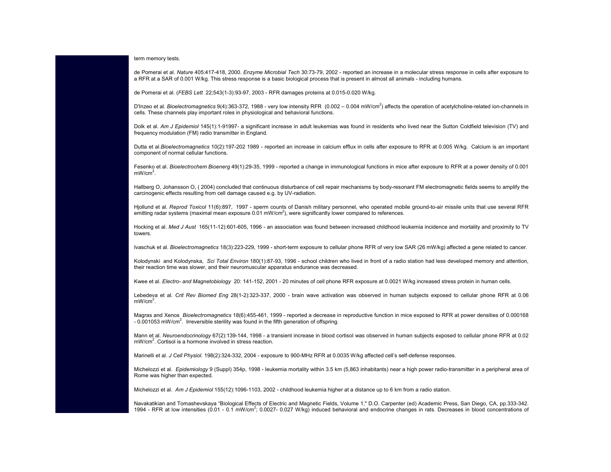term memory tests.

de Pomerai et al. *Nature* 405:417-418, 2000. *Enzyme Microbial Tech* 30:73-79, 2002 - reported an increase in a molecular stress response in cells after exposure to a RFR at a SAR of 0.001 W/kg. This stress response is a basic biological process that is present in almost all animals - including humans.

de Pomerai et al. (*FEBS Lett* 22;543(1-3):93-97, 2003 - RFR damages proteins at 0.015-0.020 W/kg.

D'Inzeo et al. Bioelectromagnetics 9(4):363-372, 1988 - very low intensity RFR (0.002 - 0.004 mW/cm<sup>2</sup>) affects the operation of acetylcholine-related ion-channels in cells. These channels play important roles in physiological and behavioral functions.

Dolk et al. Am J Epidemiol 145(1):1-91997- a significant increase in adult leukemias was found in residents who lived near the Sutton Coldfield television (TV) and frequency modulation (FM) radio transmitter in England.

Dutta et al.*Bioelectromagnetics* 10(2):197-202 1989 - reported an increase in calcium efflux in cells after exposure to RFR at 0.005 W/kg. Calcium is an important component of normal cellular functions.

Fesenko et al. *Bioelectrochem Bioenerg* 49(1):29-35, 1999 - reported a change in immunological functions in mice after exposure to RFR at a power density of 0.001 mW/cm<sup>2</sup>.

Hallberg O, Johansson O, ( 2004) concluded that continuous disturbance of cell repair mechanisms by body-resonant FM electromagnetic fields seems to amplify the carcinogenic effects resulting from cell damage caused e.g. by UV-radiation.

Hjollund et al. *Reprod Toxicol* 11(6):897, 1997 - sperm counts of Danish military personnel, who operated mobile ground-to-air missile units that use several RFR emitting radar systems (maximal mean exposure  $0.01 \text{ mW/cm}^2$ ), were significantly lower compared to references.

Hocking et al. *Med J Aust* 165(11-12):601-605, 1996 - an association was found between increased childhood leukemia incidence and mortality and proximity to TV towers.

Ivaschuk et al. *Bioelectromagnetics* 18(3):223-229, 1999 - short-term exposure to cellular phone RFR of very low SAR (26 mW/kg) affected a gene related to cancer.

Kolodynski and Kolodynska, *Sci Total Environ* 180(1):87-93, 1996 - school children who lived in front of a radio station had less developed memory and attention, their reaction time was slower, and their neuromuscular apparatus endurance was decreased.

Kwee et al. *Electro- and Magnetobiology* 20: 141-152, 2001 - 20 minutes of cell phone RFR exposure at 0.0021 W/kg increased stress protein in human cells.

Lebedeva et al. *Crit Rev Biomed Eng* 28(1-2):323-337, 2000 - brain wave activation was observed in human subjects exposed to cellular phone RFR at 0.06  $mW/cm<sup>2</sup>$ .

Magras and Xenos *Bioelectromagnetics* 18(6):455-461, 1999 - reported a decrease in reproductive function in mice exposed to RFR at power densities of 0.000168  $-0.001053$  mW/cm<sup>2</sup>. Irreversible sterility was found in the fifth generation of offspring.

Mann et al. *Neuroendocrinology* 67(2):139-144, 1998 - a transient increase in blood cortisol was observed in human subjects exposed to cellular phone RFR at 0.02 mW/cm<sup>2</sup>. Cortisol is a hormone involved in stress reaction.

Marinelli et al. *J Cell Physiol.* 198(2):324-332, 2004 - exposure to 900-MHz RFR at 0.0035 W/kg affected cell's self-defense responses.

Michelozzi et al. *Epidemiology* 9 (Suppl) 354p, 1998 - leukemia mortality within 3.5 km (5,863 inhabitants) near a high power radio-transmitter in a peripheral area of Rome was higher than expected.

Michelozzi et al. *Am J Epidemiol* 155(12):1096-1103, 2002 - childhood leukemia higher at a distance up to 6 km from a radio station.

Navakatikian and Tomashevskaya "Biological Effects of Electric and Magnetic Fields, Volume 1," D.O. Carpenter (ed) Academic Press, San Diego, CA, pp.333-342. 1994 - RFR at low intensities (0.01 - 0.1 mW/cm<sup>2</sup>; 0.0027- 0.027 W/kg) induced behavioral and endocrine changes in rats. Decreases in blood concentrations of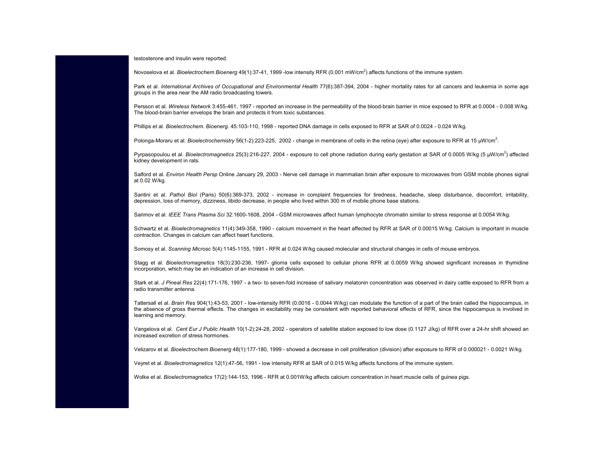testosterone and insulin were reported.

Novoselova et al. *Bioelectrochem Bioenerg* 49(1):37-41, 1999 -low intensity RFR (0.001 mW/cm<sup>2</sup>) affects functions of the immune system.

Park et al. International Archives of Occupational and Environmental Health 77(6):387-394, 2004 - higher mortality rates for all cancers and leukemia in some age groups in the area near the AM radio broadcasting towers.

Persson et al. *Wireless Network* 3:455-461, 1997 - reported an increase in the permeability of the blood-brain barrier in mice exposed to RFR at 0.0004 - 0.008 W/kg. The blood-brain barrier envelops the brain and protects it from toxic substances.

Phillips et al. *Bioelectrochem. Bioenerg.* 45:103-110, 1998 - reported DNA damage in cells exposed to RFR at SAR of 0.0024 - 0.024 W/kg.

Polonga-Moraru et al. *Bioelectrochemistry* 56(1-2):223-225, 2002 - change in membrane of cells in the retina (eye) after exposure to RFR at 15 µW/cm<sup>2</sup>.

Pyrpasopoulou et al. *Bioelectromagnetics* 25(3):216-227, 2004 - exposure to cell phone radiation during early gestation at SAR of 0.0005 W/kg (5 µW/cm<sup>2</sup>) affected kidney development in rats.

Salford et al. *Environ Health Persp* Online January 29, 2003 - Nerve cell damage in mammalian brain after exposure to microwaves from GSM mobile phones signal at 0.02 W/kg.

Santini et al. Pathol Biol (Paris) 50(6):369-373, 2002 - increase in complaint frequencies for tiredness, headache, sleep disturbance, discomfort, irritability, depression, loss of memory, dizziness, libido decrease, in people who lived within 300 m of mobile phone base stations.

Sarimov et al. *IEEE Trans Plasma Sci* 32:1600-1608, 2004 - GSM microwaves affect human lymphocyte chromatin similar to stress response at 0.0054 W/kg.

Schwartz et al. *Bioelectromagnetics* 11(4):349-358, 1990 - calcium movement in the heart affected by RFR at SAR of 0.00015 W/kg. Calcium is important in muscle contraction. Changes in calcium can affect heart functions.

Somosy et al. *Scanning Microsc* 5(4):1145-1155, 1991 - RFR at 0.024 W/kg caused molecular and structural changes in cells of mouse embryos.

Stagg et al. *Bioelectromagnetics* 18(3):230-236, 1997- glioma cells exposed to cellular phone RFR at 0.0059 W/kg showed significant increases in thymidine incorporation, which may be an indication of an increase in cell division.

Stark et al. *J Pineal Res* 22(4):171-176, 1997 - a two- to seven-fold increase of salivary melatonin concentration was observed in dairy cattle exposed to RFR from a radio transmitter antenna.

Tattersall et al. *Brain Res* 904(1):43-53, 2001 - low-intensity RFR (0.0016 - 0.0044 W/kg) can modulate the function of a part of the brain called the hippocampus, in the absence of gross thermal effects. The changes in excitability may be consistent with reported behavioral effects of RFR, since the hippocampus is involved in learning and memory.

Vangelova et al. *Cent Eur J Public Health* 10(1-2):24-28, 2002 - operators of satellite station exposed to low dose (0.1127 J/kg) of RFR over a 24-hr shift showed an increased excretion of stress hormones.

Velizarov et al. *Bioelectrochem Bioenerg* 48(1):177-180, 1999 - showed a decrease in cell proliferation (division) after exposure to RFR of 0.000021 - 0.0021 W/kg.

Veyret et al. *Bioelectromagnetics* 12(1):47-56, 1991 - low intensity RFR at SAR of 0.015 W/kg affects functions of the immune system.

Wolke et al. *Bioelectromagnetics* 17(2):144-153, 1996 - RFR at 0.001W/kg affects calcium concentration in heart muscle cells of guinea pigs.